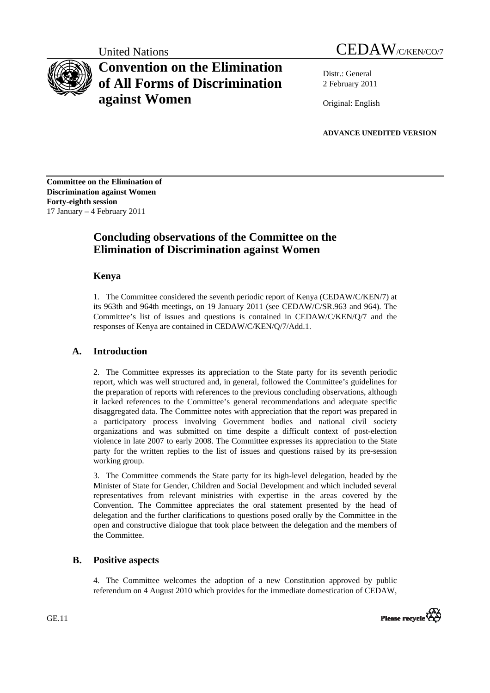# **Convention on the Elimination of All Forms of Discrimination against Women**

United Nations CEDAW/C/KEN/CO/7

Distr.: General 2 February 2011

Original: English

**ADVANCE UNEDITED VERSION**

**Committee on the Elimination of Discrimination against Women Forty-eighth session**  17 January – 4 February 2011

## **Concluding observations of the Committee on the Elimination of Discrimination against Women**

## **Kenya**

1. The Committee considered the seventh periodic report of Kenya (CEDAW/C/KEN/7) at its 963th and 964th meetings, on 19 January 2011 (see CEDAW/C/SR.963 and 964). The Committee's list of issues and questions is contained in CEDAW/C/KEN/Q/7 and the responses of Kenya are contained in CEDAW/C/KEN/Q/7/Add.1.

## **A. Introduction**

2. The Committee expresses its appreciation to the State party for its seventh periodic report, which was well structured and, in general, followed the Committee's guidelines for the preparation of reports with references to the previous concluding observations, although it lacked references to the Committee's general recommendations and adequate specific disaggregated data. The Committee notes with appreciation that the report was prepared in a participatory process involving Government bodies and national civil society organizations and was submitted on time despite a difficult context of post-election violence in late 2007 to early 2008. The Committee expresses its appreciation to the State party for the written replies to the list of issues and questions raised by its pre-session working group.

3. The Committee commends the State party for its high-level delegation, headed by the Minister of State for Gender, Children and Social Development and which included several representatives from relevant ministries with expertise in the areas covered by the Convention. The Committee appreciates the oral statement presented by the head of delegation and the further clarifications to questions posed orally by the Committee in the open and constructive dialogue that took place between the delegation and the members of the Committee.

## **B. Positive aspects**

4. The Committee welcomes the adoption of a new Constitution approved by public referendum on 4 August 2010 which provides for the immediate domestication of CEDAW,

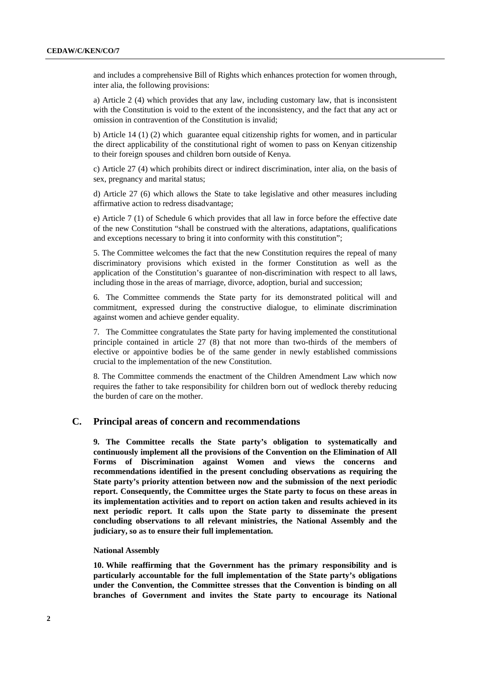and includes a comprehensive Bill of Rights which enhances protection for women through, inter alia, the following provisions:

a) Article 2 (4) which provides that any law, including customary law, that is inconsistent with the Constitution is void to the extent of the inconsistency, and the fact that any act or omission in contravention of the Constitution is invalid;

b) Article 14 (1) (2) which guarantee equal citizenship rights for women, and in particular the direct applicability of the constitutional right of women to pass on Kenyan citizenship to their foreign spouses and children born outside of Kenya.

c) Article 27 (4) which prohibits direct or indirect discrimination, inter alia, on the basis of sex, pregnancy and marital status;

d) Article 27 (6) which allows the State to take legislative and other measures including affirmative action to redress disadvantage;

e) Article 7 (1) of Schedule 6 which provides that all law in force before the effective date of the new Constitution "shall be construed with the alterations, adaptations, qualifications and exceptions necessary to bring it into conformity with this constitution";

5. The Committee welcomes the fact that the new Constitution requires the repeal of many discriminatory provisions which existed in the former Constitution as well as the application of the Constitution's guarantee of non-discrimination with respect to all laws, including those in the areas of marriage, divorce, adoption, burial and succession;

6. The Committee commends the State party for its demonstrated political will and commitment, expressed during the constructive dialogue, to eliminate discrimination against women and achieve gender equality.

7. The Committee congratulates the State party for having implemented the constitutional principle contained in article 27 (8) that not more than two-thirds of the members of elective or appointive bodies be of the same gender in newly established commissions crucial to the implementation of the new Constitution.

8. The Committee commends the enactment of the Children Amendment Law which now requires the father to take responsibility for children born out of wedlock thereby reducing the burden of care on the mother.

## **C. Principal areas of concern and recommendations**

**9. The Committee recalls the State party's obligation to systematically and continuously implement all the provisions of the Convention on the Elimination of All Forms of Discrimination against Women and views the concerns and recommendations identified in the present concluding observations as requiring the State party's priority attention between now and the submission of the next periodic report. Consequently, the Committee urges the State party to focus on these areas in its implementation activities and to report on action taken and results achieved in its next periodic report. It calls upon the State party to disseminate the present concluding observations to all relevant ministries, the National Assembly and the judiciary, so as to ensure their full implementation.** 

#### **National Assembly**

**10. While reaffirming that the Government has the primary responsibility and is particularly accountable for the full implementation of the State party's obligations under the Convention, the Committee stresses that the Convention is binding on all branches of Government and invites the State party to encourage its National**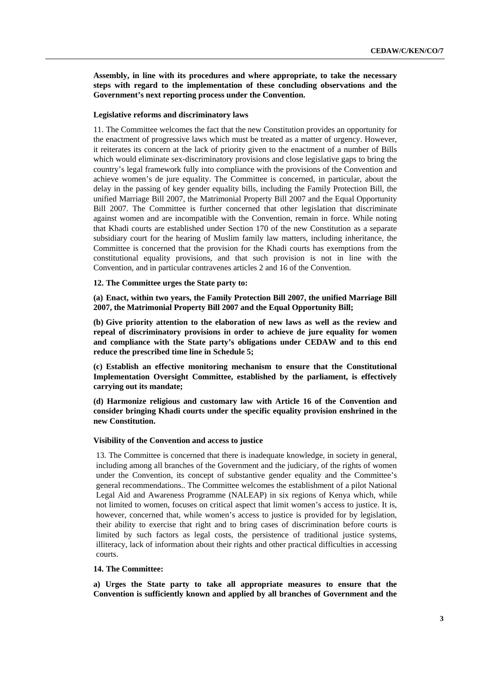**Assembly, in line with its procedures and where appropriate, to take the necessary steps with regard to the implementation of these concluding observations and the Government's next reporting process under the Convention.** 

#### **Legislative reforms and discriminatory laws**

11. The Committee welcomes the fact that the new Constitution provides an opportunity for the enactment of progressive laws which must be treated as a matter of urgency. However, it reiterates its concern at the lack of priority given to the enactment of a number of Bills which would eliminate sex-discriminatory provisions and close legislative gaps to bring the country's legal framework fully into compliance with the provisions of the Convention and achieve women's de jure equality. The Committee is concerned, in particular, about the delay in the passing of key gender equality bills, including the Family Protection Bill, the unified Marriage Bill 2007, the Matrimonial Property Bill 2007 and the Equal Opportunity Bill 2007. The Committee is further concerned that other legislation that discriminate against women and are incompatible with the Convention, remain in force. While noting that Khadi courts are established under Section 170 of the new Constitution as a separate subsidiary court for the hearing of Muslim family law matters, including inheritance, the Committee is concerned that the provision for the Khadi courts has exemptions from the constitutional equality provisions, and that such provision is not in line with the Convention, and in particular contravenes articles 2 and 16 of the Convention.

**12. The Committee urges the State party to:** 

**(a) Enact, within two years, the Family Protection Bill 2007, the unified Marriage Bill 2007, the Matrimonial Property Bill 2007 and the Equal Opportunity Bill;** 

**(b) Give priority attention to the elaboration of new laws as well as the review and repeal of discriminatory provisions in order to achieve de jure equality for women and compliance with the State party's obligations under CEDAW and to this end reduce the prescribed time line in Schedule 5;** 

**(c) Establish an effective monitoring mechanism to ensure that the Constitutional Implementation Oversight Committee, established by the parliament, is effectively carrying out its mandate;** 

**(d) Harmonize religious and customary law with Article 16 of the Convention and consider bringing Khadi courts under the specific equality provision enshrined in the new Constitution.** 

#### **Visibility of the Convention and access to justice**

13. The Committee is concerned that there is inadequate knowledge, in society in general, including among all branches of the Government and the judiciary, of the rights of women under the Convention, its concept of substantive gender equality and the Committee's general recommendations.. The Committee welcomes the establishment of a pilot National Legal Aid and Awareness Programme (NALEAP) in six regions of Kenya which, while not limited to women, focuses on critical aspect that limit women's access to justice. It is, however, concerned that, while women's access to justice is provided for by legislation, their ability to exercise that right and to bring cases of discrimination before courts is limited by such factors as legal costs, the persistence of traditional justice systems, illiteracy, lack of information about their rights and other practical difficulties in accessing courts.

#### **14. The Committee:**

**a) Urges the State party to take all appropriate measures to ensure that the Convention is sufficiently known and applied by all branches of Government and the**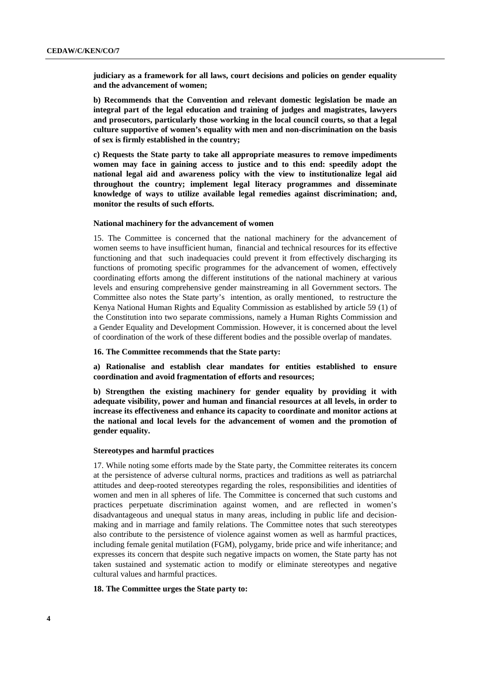**judiciary as a framework for all laws, court decisions and policies on gender equality and the advancement of women;** 

**b) Recommends that the Convention and relevant domestic legislation be made an integral part of the legal education and training of judges and magistrates, lawyers and prosecutors, particularly those working in the local council courts, so that a legal culture supportive of women's equality with men and non-discrimination on the basis of sex is firmly established in the country;** 

**c) Requests the State party to take all appropriate measures to remove impediments women may face in gaining access to justice and to this end: speedily adopt the national legal aid and awareness policy with the view to institutionalize legal aid throughout the country; implement legal literacy programmes and disseminate knowledge of ways to utilize available legal remedies against discrimination; and, monitor the results of such efforts.** 

#### **National machinery for the advancement of women**

15. The Committee is concerned that the national machinery for the advancement of women seems to have insufficient human, financial and technical resources for its effective functioning and that such inadequacies could prevent it from effectively discharging its functions of promoting specific programmes for the advancement of women, effectively coordinating efforts among the different institutions of the national machinery at various levels and ensuring comprehensive gender mainstreaming in all Government sectors. The Committee also notes the State party's intention, as orally mentioned, to restructure the Kenya National Human Rights and Equality Commission as established by article 59 (1) of the Constitution into two separate commissions, namely a Human Rights Commission and a Gender Equality and Development Commission. However, it is concerned about the level of coordination of the work of these different bodies and the possible overlap of mandates.

#### **16. The Committee recommends that the State party:**

**a) Rationalise and establish clear mandates for entities established to ensure coordination and avoid fragmentation of efforts and resources;** 

**b) Strengthen the existing machinery for gender equality by providing it with adequate visibility, power and human and financial resources at all levels, in order to increase its effectiveness and enhance its capacity to coordinate and monitor actions at the national and local levels for the advancement of women and the promotion of gender equality.** 

#### **Stereotypes and harmful practices**

17. While noting some efforts made by the State party, the Committee reiterates its concern at the persistence of adverse cultural norms, practices and traditions as well as patriarchal attitudes and deep-rooted stereotypes regarding the roles, responsibilities and identities of women and men in all spheres of life. The Committee is concerned that such customs and practices perpetuate discrimination against women, and are reflected in women's disadvantageous and unequal status in many areas, including in public life and decisionmaking and in marriage and family relations. The Committee notes that such stereotypes also contribute to the persistence of violence against women as well as harmful practices, including female genital mutilation (FGM), polygamy, bride price and wife inheritance; and expresses its concern that despite such negative impacts on women, the State party has not taken sustained and systematic action to modify or eliminate stereotypes and negative cultural values and harmful practices.

#### **18. The Committee urges the State party to:**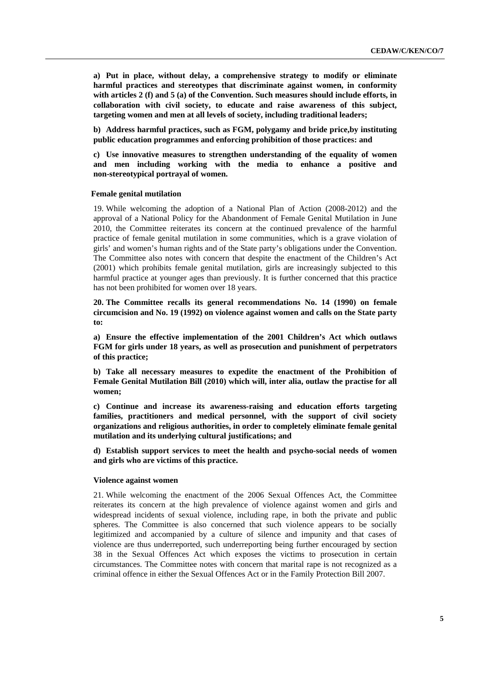**a) Put in place, without delay, a comprehensive strategy to modify or eliminate harmful practices and stereotypes that discriminate against women, in conformity with articles 2 (f) and 5 (a) of the Convention. Such measures should include efforts, in collaboration with civil society, to educate and raise awareness of this subject, targeting women and men at all levels of society, including traditional leaders;** 

**b) Address harmful practices, such as FGM, polygamy and bride price,by instituting public education programmes and enforcing prohibition of those practices: and** 

**c) Use innovative measures to strengthen understanding of the equality of women and men including working with the media to enhance a positive and non-stereotypical portrayal of women.** 

#### **Female genital mutilation**

19. While welcoming the adoption of a National Plan of Action (2008-2012) and the approval of a National Policy for the Abandonment of Female Genital Mutilation in June 2010, the Committee reiterates its concern at the continued prevalence of the harmful practice of female genital mutilation in some communities, which is a grave violation of girls' and women's human rights and of the State party's obligations under the Convention. The Committee also notes with concern that despite the enactment of the Children's Act (2001) which prohibits female genital mutilation, girls are increasingly subjected to this harmful practice at younger ages than previously. It is further concerned that this practice has not been prohibited for women over 18 years.

**20. The Committee recalls its general recommendations No. 14 (1990) on female circumcision and No. 19 (1992) on violence against women and calls on the State party to:** 

**a) Ensure the effective implementation of the 2001 Children's Act which outlaws FGM for girls under 18 years, as well as prosecution and punishment of perpetrators of this practice;** 

**b) Take all necessary measures to expedite the enactment of the Prohibition of Female Genital Mutilation Bill (2010) which will, inter alia, outlaw the practise for all women;** 

**c) Continue and increase its awareness-raising and education efforts targeting families, practitioners and medical personnel, with the support of civil society organizations and religious authorities, in order to completely eliminate female genital mutilation and its underlying cultural justifications; and** 

**d) Establish support services to meet the health and psycho-social needs of women and girls who are victims of this practice.** 

#### **Violence against women**

21. While welcoming the enactment of the 2006 Sexual Offences Act, the Committee reiterates its concern at the high prevalence of violence against women and girls and widespread incidents of sexual violence, including rape, in both the private and public spheres. The Committee is also concerned that such violence appears to be socially legitimized and accompanied by a culture of silence and impunity and that cases of violence are thus underreported, such underreporting being further encouraged by section 38 in the Sexual Offences Act which exposes the victims to prosecution in certain circumstances. The Committee notes with concern that marital rape is not recognized as a criminal offence in either the Sexual Offences Act or in the Family Protection Bill 2007.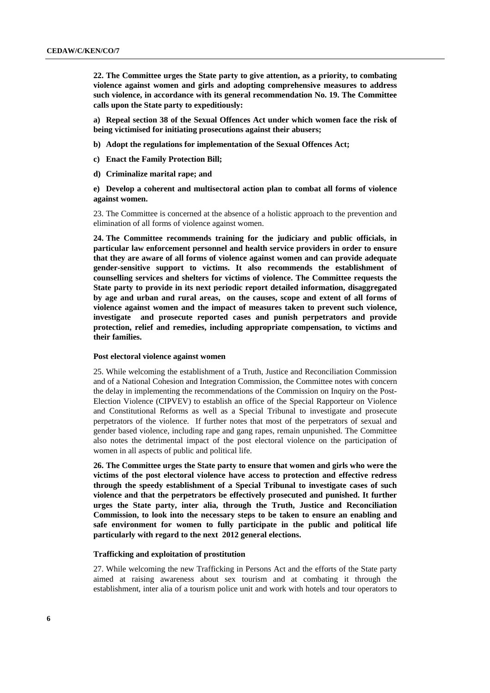**22. The Committee urges the State party to give attention, as a priority, to combating violence against women and girls and adopting comprehensive measures to address such violence, in accordance with its general recommendation No. 19. The Committee calls upon the State party to expeditiously:** 

**a) Repeal section 38 of the Sexual Offences Act under which women face the risk of being victimised for initiating prosecutions against their abusers;** 

- **b) Adopt the regulations for implementation of the Sexual Offences Act;**
- **c) Enact the Family Protection Bill;**
- **d) Criminalize marital rape; and**

**e) Develop a coherent and multisectoral action plan to combat all forms of violence against women.** 

23. The Committee is concerned at the absence of a holistic approach to the prevention and elimination of all forms of violence against women.

**24. The Committee recommends training for the judiciary and public officials, in particular law enforcement personnel and health service providers in order to ensure that they are aware of all forms of violence against women and can provide adequate gender-sensitive support to victims. It also recommends the establishment of counselling services and shelters for victims of violence. The Committee requests the State party to provide in its next periodic report detailed information, disaggregated by age and urban and rural areas, on the causes, scope and extent of all forms of violence against women and the impact of measures taken to prevent such violence, investigate and prosecute reported cases and punish perpetrators and provide protection, relief and remedies, including appropriate compensation, to victims and their families.** 

#### **Post electoral violence against women**

25. While welcoming the establishment of a Truth, Justice and Reconciliation Commission and of a National Cohesion and Integration Commission, the Committee notes with concern the delay in implementing the recommendations of the Commission on Inquiry on the Post-Election Violence (CIPVEV) to establish an office of the Special Rapporteur on Violence and Constitutional Reforms as well as a Special Tribunal to investigate and prosecute perpetrators of the violence. If further notes that most of the perpetrators of sexual and gender based violence, including rape and gang rapes, remain unpunished. The Committee also notes the detrimental impact of the post electoral violence on the participation of women in all aspects of public and political life.

**26. The Committee urges the State party to ensure that women and girls who were the victims of the post electoral violence have access to protection and effective redress through the speedy establishment of a Special Tribunal to investigate cases of such violence and that the perpetrators be effectively prosecuted and punished. It further urges the State party, inter alia, through the Truth, Justice and Reconciliation Commission, to look into the necessary steps to be taken to ensure an enabling and safe environment for women to fully participate in the public and political life particularly with regard to the next 2012 general elections.** 

### **Trafficking and exploitation of prostitution**

27. While welcoming the new Trafficking in Persons Act and the efforts of the State party aimed at raising awareness about sex tourism and at combating it through the establishment, inter alia of a tourism police unit and work with hotels and tour operators to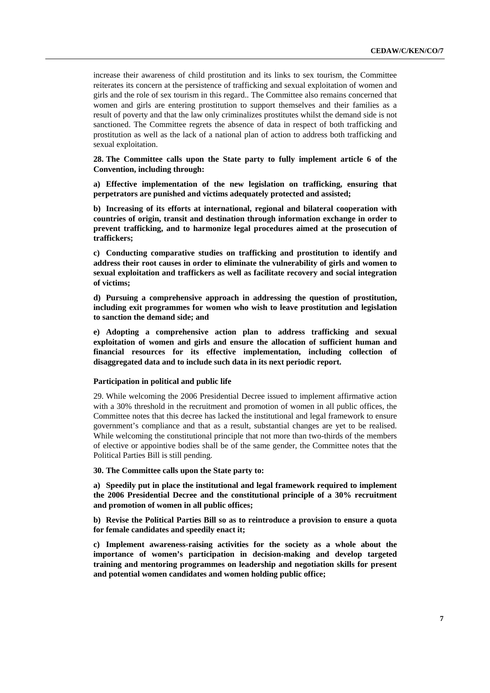increase their awareness of child prostitution and its links to sex tourism, the Committee reiterates its concern at the persistence of trafficking and sexual exploitation of women and girls and the role of sex tourism in this regard.. The Committee also remains concerned that women and girls are entering prostitution to support themselves and their families as a result of poverty and that the law only criminalizes prostitutes whilst the demand side is not sanctioned. The Committee regrets the absence of data in respect of both trafficking and prostitution as well as the lack of a national plan of action to address both trafficking and sexual exploitation.

**28. The Committee calls upon the State party to fully implement article 6 of the Convention, including through:** 

**a) Effective implementation of the new legislation on trafficking, ensuring that perpetrators are punished and victims adequately protected and assisted;** 

**b) Increasing of its efforts at international, regional and bilateral cooperation with countries of origin, transit and destination through information exchange in order to prevent trafficking, and to harmonize legal procedures aimed at the prosecution of traffickers;** 

**c) Conducting comparative studies on trafficking and prostitution to identify and address their root causes in order to eliminate the vulnerability of girls and women to sexual exploitation and traffickers as well as facilitate recovery and social integration of victims;** 

**d) Pursuing a comprehensive approach in addressing the question of prostitution, including exit programmes for women who wish to leave prostitution and legislation to sanction the demand side; and** 

**e) Adopting a comprehensive action plan to address trafficking and sexual exploitation of women and girls and ensure the allocation of sufficient human and financial resources for its effective implementation, including collection of disaggregated data and to include such data in its next periodic report.** 

#### **Participation in political and public life**

29. While welcoming the 2006 Presidential Decree issued to implement affirmative action with a 30% threshold in the recruitment and promotion of women in all public offices, the Committee notes that this decree has lacked the institutional and legal framework to ensure government's compliance and that as a result, substantial changes are yet to be realised. While welcoming the constitutional principle that not more than two-thirds of the members of elective or appointive bodies shall be of the same gender, the Committee notes that the Political Parties Bill is still pending.

**30. The Committee calls upon the State party to:** 

**a) Speedily put in place the institutional and legal framework required to implement the 2006 Presidential Decree and the constitutional principle of a 30% recruitment and promotion of women in all public offices;** 

**b) Revise the Political Parties Bill so as to reintroduce a provision to ensure a quota for female candidates and speedily enact it;** 

**c) Implement awareness-raising activities for the society as a whole about the importance of women's participation in decision-making and develop targeted training and mentoring programmes on leadership and negotiation skills for present and potential women candidates and women holding public office;**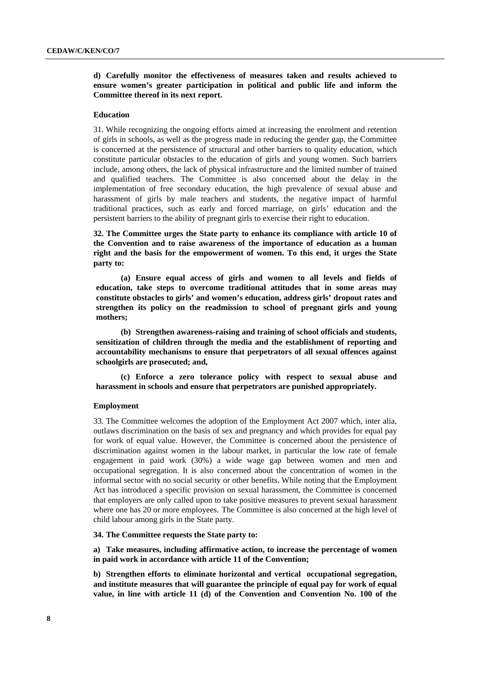## **d) Carefully monitor the effectiveness of measures taken and results achieved to ensure women's greater participation in political and public life and inform the Committee thereof in its next report.**

#### **Education**

31. While recognizing the ongoing efforts aimed at increasing the enrolment and retention of girls in schools, as well as the progress made in reducing the gender gap, the Committee is concerned at the persistence of structural and other barriers to quality education, which constitute particular obstacles to the education of girls and young women. Such barriers include, among others, the lack of physical infrastructure and the limited number of trained and qualified teachers. The Committee is also concerned about the delay in the implementation of free secondary education, the high prevalence of sexual abuse and harassment of girls by male teachers and students, the negative impact of harmful traditional practices, such as early and forced marriage, on girls' education and the persistent barriers to the ability of pregnant girls to exercise their right to education.

**32. The Committee urges the State party to enhance its compliance with article 10 of the Convention and to raise awareness of the importance of education as a human right and the basis for the empowerment of women. To this end, it urges the State party to:** 

**(a) Ensure equal access of girls and women to all levels and fields of education, take steps to overcome traditional attitudes that in some areas may constitute obstacles to girls' and women's education, address girls' dropout rates and strengthen its policy on the readmission to school of pregnant girls and young mothers;** 

**(b) Strengthen awareness-raising and training of school officials and students, sensitization of children through the media and the establishment of reporting and accountability mechanisms to ensure that perpetrators of all sexual offences against schoolgirls are prosecuted; and,** 

**(c) Enforce a zero tolerance policy with respect to sexual abuse and harassment in schools and ensure that perpetrators are punished appropriately.** 

#### **Employment**

33. The Committee welcomes the adoption of the Employment Act 2007 which, inter alia, outlaws discrimination on the basis of sex and pregnancy and which provides for equal pay for work of equal value. However, the Committee is concerned about the persistence of discrimination against women in the labour market, in particular the low rate of female engagement in paid work (30%) a wide wage gap between women and men and occupational segregation. It is also concerned about the concentration of women in the informal sector with no social security or other benefits. While noting that the Employment Act has introduced a specific provision on sexual harassment, the Committee is concerned that employers are only called upon to take positive measures to prevent sexual harassment where one has 20 or more employees. The Committee is also concerned at the high level of child labour among girls in the State party.

**34. The Committee requests the State party to:** 

**a) Take measures, including affirmative action, to increase the percentage of women in paid work in accordance with article 11 of the Convention;** 

**b) Strengthen efforts to eliminate horizontal and vertical occupational segregation, and institute measures that will guarantee the principle of equal pay for work of equal value, in line with article 11 (d) of the Convention and Convention No. 100 of the**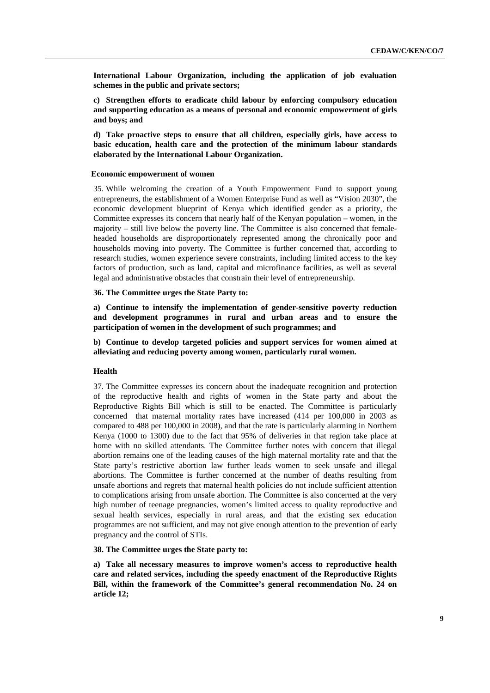**International Labour Organization, including the application of job evaluation schemes in the public and private sectors;** 

**c) Strengthen efforts to eradicate child labour by enforcing compulsory education and supporting education as a means of personal and economic empowerment of girls and boys; and** 

**d) Take proactive steps to ensure that all children, especially girls, have access to basic education, health care and the protection of the minimum labour standards elaborated by the International Labour Organization.** 

#### **Economic empowerment of women**

35. While welcoming the creation of a Youth Empowerment Fund to support young entrepreneurs, the establishment of a Women Enterprise Fund as well as "Vision 2030", the economic development blueprint of Kenya which identified gender as a priority, the Committee expresses its concern that nearly half of the Kenyan population – women, in the majority – still live below the poverty line. The Committee is also concerned that femaleheaded households are disproportionately represented among the chronically poor and households moving into poverty. The Committee is further concerned that, according to research studies, women experience severe constraints, including limited access to the key factors of production, such as land, capital and microfinance facilities, as well as several legal and administrative obstacles that constrain their level of entrepreneurship.

#### **36. The Committee urges the State Party to:**

**a) Continue to intensify the implementation of gender-sensitive poverty reduction and development programmes in rural and urban areas and to ensure the participation of women in the development of such programmes; and** 

**b) Continue to develop targeted policies and support services for women aimed at alleviating and reducing poverty among women, particularly rural women.** 

#### **Health**

37. The Committee expresses its concern about the inadequate recognition and protection of the reproductive health and rights of women in the State party and about the Reproductive Rights Bill which is still to be enacted. The Committee is particularly concerned that maternal mortality rates have increased (414 per 100,000 in 2003 as compared to 488 per 100,000 in 2008), and that the rate is particularly alarming in Northern Kenya (1000 to 1300) due to the fact that 95% of deliveries in that region take place at home with no skilled attendants. The Committee further notes with concern that illegal abortion remains one of the leading causes of the high maternal mortality rate and that the State party's restrictive abortion law further leads women to seek unsafe and illegal abortions. The Committee is further concerned at the number of deaths resulting from unsafe abortions and regrets that maternal health policies do not include sufficient attention to complications arising from unsafe abortion. The Committee is also concerned at the very high number of teenage pregnancies, women's limited access to quality reproductive and sexual health services, especially in rural areas, and that the existing sex education programmes are not sufficient, and may not give enough attention to the prevention of early pregnancy and the control of STIs.

#### **38. The Committee urges the State party to:**

**a) Take all necessary measures to improve women's access to reproductive health care and related services, including the speedy enactment of the Reproductive Rights Bill, within the framework of the Committee's general recommendation No. 24 on article 12;**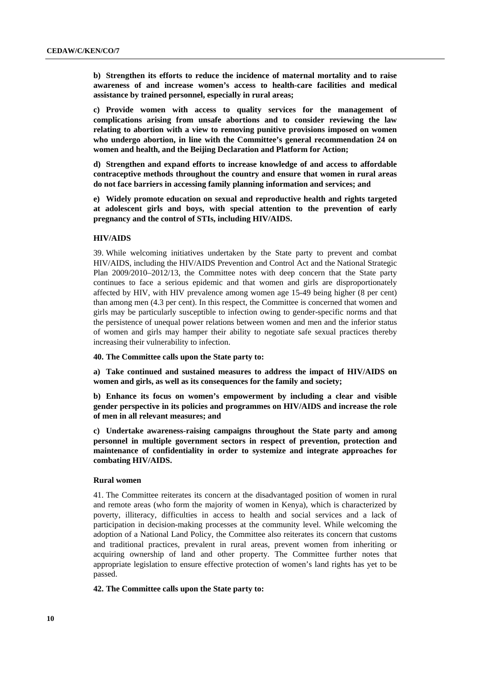**b) Strengthen its efforts to reduce the incidence of maternal mortality and to raise awareness of and increase women's access to health-care facilities and medical assistance by trained personnel, especially in rural areas;** 

**c) Provide women with access to quality services for the management of complications arising from unsafe abortions and to consider reviewing the law relating to abortion with a view to removing punitive provisions imposed on women who undergo abortion, in line with the Committee's general recommendation 24 on women and health, and the Beijing Declaration and Platform for Action;** 

**d) Strengthen and expand efforts to increase knowledge of and access to affordable contraceptive methods throughout the country and ensure that women in rural areas do not face barriers in accessing family planning information and services; and** 

**e) Widely promote education on sexual and reproductive health and rights targeted at adolescent girls and boys, with special attention to the prevention of early pregnancy and the control of STIs, including HIV/AIDS.** 

#### **HIV/AIDS**

39. While welcoming initiatives undertaken by the State party to prevent and combat HIV/AIDS, including the HIV/AIDS Prevention and Control Act and the National Strategic Plan 2009/2010–2012/13, the Committee notes with deep concern that the State party continues to face a serious epidemic and that women and girls are disproportionately affected by HIV, with HIV prevalence among women age 15-49 being higher (8 per cent) than among men (4.3 per cent). In this respect, the Committee is concerned that women and girls may be particularly susceptible to infection owing to gender-specific norms and that the persistence of unequal power relations between women and men and the inferior status of women and girls may hamper their ability to negotiate safe sexual practices thereby increasing their vulnerability to infection.

**40. The Committee calls upon the State party to:** 

**a) Take continued and sustained measures to address the impact of HIV/AIDS on women and girls, as well as its consequences for the family and society;** 

**b) Enhance its focus on women's empowerment by including a clear and visible gender perspective in its policies and programmes on HIV/AIDS and increase the role of men in all relevant measures; and** 

**c) Undertake awareness-raising campaigns throughout the State party and among personnel in multiple government sectors in respect of prevention, protection and maintenance of confidentiality in order to systemize and integrate approaches for combating HIV/AIDS.**

#### **Rural women**

41. The Committee reiterates its concern at the disadvantaged position of women in rural and remote areas (who form the majority of women in Kenya), which is characterized by poverty, illiteracy, difficulties in access to health and social services and a lack of participation in decision-making processes at the community level. While welcoming the adoption of a National Land Policy, the Committee also reiterates its concern that customs and traditional practices, prevalent in rural areas, prevent women from inheriting or acquiring ownership of land and other property. The Committee further notes that appropriate legislation to ensure effective protection of women's land rights has yet to be passed.

## **42. The Committee calls upon the State party to:**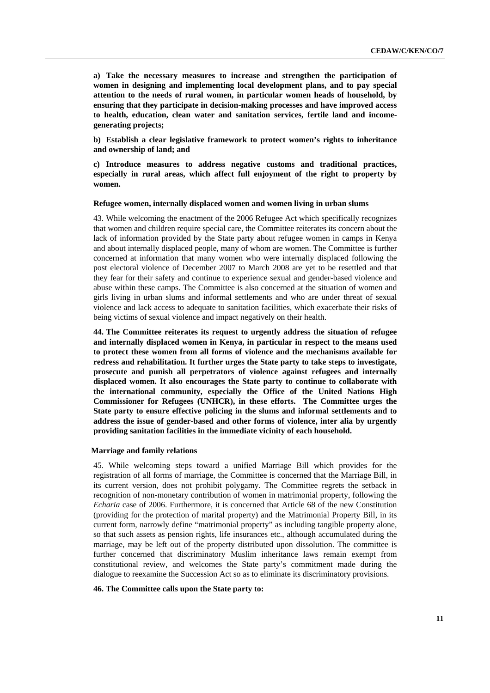**a) Take the necessary measures to increase and strengthen the participation of women in designing and implementing local development plans, and to pay special attention to the needs of rural women, in particular women heads of household, by ensuring that they participate in decision-making processes and have improved access to health, education, clean water and sanitation services, fertile land and incomegenerating projects;** 

**b) Establish a clear legislative framework to protect women's rights to inheritance and ownership of land; and** 

**c) Introduce measures to address negative customs and traditional practices, especially in rural areas, which affect full enjoyment of the right to property by women.** 

#### **Refugee women, internally displaced women and women living in urban slums**

43. While welcoming the enactment of the 2006 Refugee Act which specifically recognizes that women and children require special care, the Committee reiterates its concern about the lack of information provided by the State party about refugee women in camps in Kenya and about internally displaced people, many of whom are women. The Committee is further concerned at information that many women who were internally displaced following the post electoral violence of December 2007 to March 2008 are yet to be resettled and that they fear for their safety and continue to experience sexual and gender-based violence and abuse within these camps. The Committee is also concerned at the situation of women and girls living in urban slums and informal settlements and who are under threat of sexual violence and lack access to adequate to sanitation facilities, which exacerbate their risks of being victims of sexual violence and impact negatively on their health.

**44. The Committee reiterates its request to urgently address the situation of refugee and internally displaced women in Kenya, in particular in respect to the means used to protect these women from all forms of violence and the mechanisms available for redress and rehabilitation. It further urges the State party to take steps to investigate, prosecute and punish all perpetrators of violence against refugees and internally displaced women. It also encourages the State party to continue to collaborate with the international community, especially the Office of the United Nations High Commissioner for Refugees (UNHCR), in these efforts. The Committee urges the State party to ensure effective policing in the slums and informal settlements and to address the issue of gender-based and other forms of violence, inter alia by urgently providing sanitation facilities in the immediate vicinity of each household.** 

#### **Marriage and family relations**

45. While welcoming steps toward a unified Marriage Bill which provides for the registration of all forms of marriage, the Committee is concerned that the Marriage Bill, in its current version, does not prohibit polygamy. The Committee regrets the setback in recognition of non-monetary contribution of women in matrimonial property, following the *Echaria* case of 2006. Furthermore, it is concerned that Article 68 of the new Constitution (providing for the protection of marital property) and the Matrimonial Property Bill, in its current form, narrowly define "matrimonial property" as including tangible property alone, so that such assets as pension rights, life insurances etc., although accumulated during the marriage, may be left out of the property distributed upon dissolution. The committee is further concerned that discriminatory Muslim inheritance laws remain exempt from constitutional review, and welcomes the State party's commitment made during the dialogue to reexamine the Succession Act so as to eliminate its discriminatory provisions.

## **46. The Committee calls upon the State party to:**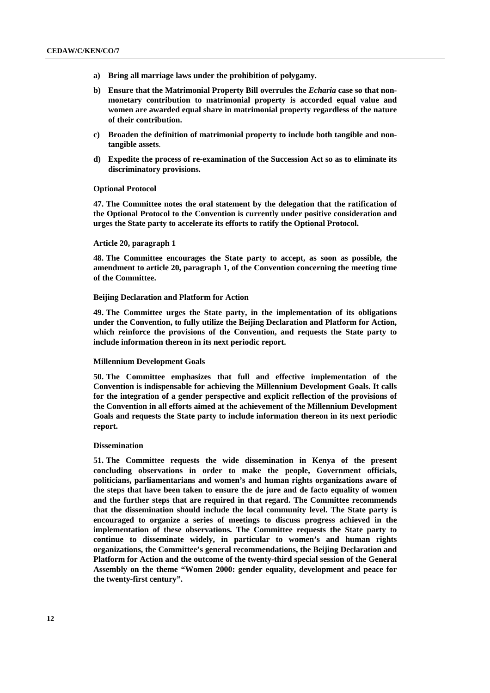- **a) Bring all marriage laws under the prohibition of polygamy.**
- **b) Ensure that the Matrimonial Property Bill overrules the** *Echaria* **case so that nonmonetary contribution to matrimonial property is accorded equal value and women are awarded equal share in matrimonial property regardless of the nature of their contribution.**
- **c) Broaden the definition of matrimonial property to include both tangible and nontangible assets**.
- **d) Expedite the process of re-examination of the Succession Act so as to eliminate its discriminatory provisions.**

#### **Optional Protocol**

**47. The Committee notes the oral statement by the delegation that the ratification of the Optional Protocol to the Convention is currently under positive consideration and urges the State party to accelerate its efforts to ratify the Optional Protocol.** 

#### **Article 20, paragraph 1**

**48. The Committee encourages the State party to accept, as soon as possible, the amendment to article 20, paragraph 1, of the Convention concerning the meeting time of the Committee.** 

#### **Beijing Declaration and Platform for Action**

**49. The Committee urges the State party, in the implementation of its obligations under the Convention, to fully utilize the Beijing Declaration and Platform for Action, which reinforce the provisions of the Convention, and requests the State party to include information thereon in its next periodic report.** 

### **Millennium Development Goals**

**50. The Committee emphasizes that full and effective implementation of the Convention is indispensable for achieving the Millennium Development Goals. It calls for the integration of a gender perspective and explicit reflection of the provisions of the Convention in all efforts aimed at the achievement of the Millennium Development Goals and requests the State party to include information thereon in its next periodic report.** 

#### **Dissemination**

**51. The Committee requests the wide dissemination in Kenya of the present concluding observations in order to make the people, Government officials, politicians, parliamentarians and women's and human rights organizations aware of the steps that have been taken to ensure the de jure and de facto equality of women and the further steps that are required in that regard. The Committee recommends that the dissemination should include the local community level. The State party is encouraged to organize a series of meetings to discuss progress achieved in the implementation of these observations. The Committee requests the State party to continue to disseminate widely, in particular to women's and human rights organizations, the Committee's general recommendations, the Beijing Declaration and Platform for Action and the outcome of the twenty-third special session of the General Assembly on the theme "Women 2000: gender equality, development and peace for the twenty-first century".**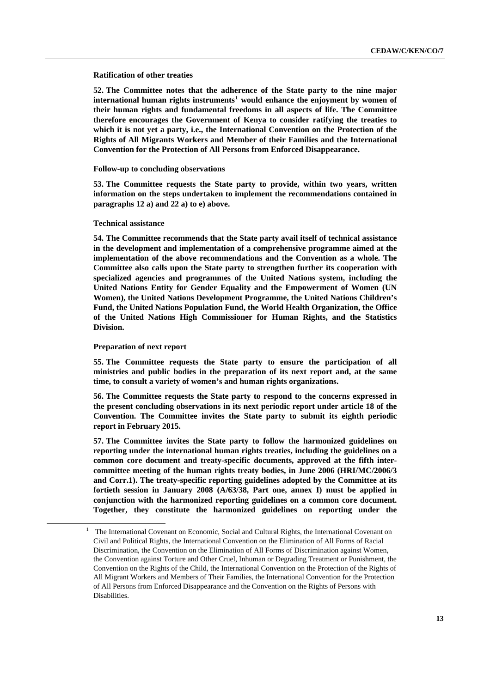#### **Ratification of other treaties**

**52. The Committee notes that the adherence of the State party to the nine major international human rights instruments[1](#page-12-0) would enhance the enjoyment by women of their human rights and fundamental freedoms in all aspects of life. The Committee therefore encourages the Government of Kenya to consider ratifying the treaties to which it is not yet a party, i.e., the International Convention on the Protection of the Rights of All Migrants Workers and Member of their Families and the International Convention for the Protection of All Persons from Enforced Disappearance.** 

#### **Follow-up to concluding observations**

**53. The Committee requests the State party to provide, within two years, written information on the steps undertaken to implement the recommendations contained in paragraphs 12 a) and 22 a) to e) above.** 

#### **Technical assistance**

**54. The Committee recommends that the State party avail itself of technical assistance in the development and implementation of a comprehensive programme aimed at the implementation of the above recommendations and the Convention as a whole. The Committee also calls upon the State party to strengthen further its cooperation with specialized agencies and programmes of the United Nations system, including the United Nations Entity for Gender Equality and the Empowerment of Women (UN Women), the United Nations Development Programme, the United Nations Children's Fund, the United Nations Population Fund, the World Health Organization, the Office of the United Nations High Commissioner for Human Rights, and the Statistics Division.** 

#### **Preparation of next report**

**55. The Committee requests the State party to ensure the participation of all ministries and public bodies in the preparation of its next report and, at the same time, to consult a variety of women's and human rights organizations.** 

**56. The Committee requests the State party to respond to the concerns expressed in the present concluding observations in its next periodic report under article 18 of the Convention. The Committee invites the State party to submit its eighth periodic report in February 2015.** 

**57. The Committee invites the State party to follow the harmonized guidelines on reporting under the international human rights treaties, including the guidelines on a common core document and treaty-specific documents, approved at the fifth intercommittee meeting of the human rights treaty bodies, in June 2006 (HRI/MC/2006/3 and Corr.1). The treaty-specific reporting guidelines adopted by the Committee at its fortieth session in January 2008 (A/63/38, Part one, annex I) must be applied in conjunction with the harmonized reporting guidelines on a common core document. Together, they constitute the harmonized guidelines on reporting under the** 

<span id="page-12-0"></span><sup>&</sup>lt;u>1</u> The International Covenant on Economic, Social and Cultural Rights, the International Covenant on Civil and Political Rights, the International Convention on the Elimination of All Forms of Racial Discrimination, the Convention on the Elimination of All Forms of Discrimination against Women, the Convention against Torture and Other Cruel, Inhuman or Degrading Treatment or Punishment, the Convention on the Rights of the Child, the International Convention on the Protection of the Rights of All Migrant Workers and Members of Their Families, the International Convention for the Protection of All Persons from Enforced Disappearance and the Convention on the Rights of Persons with Disabilities.